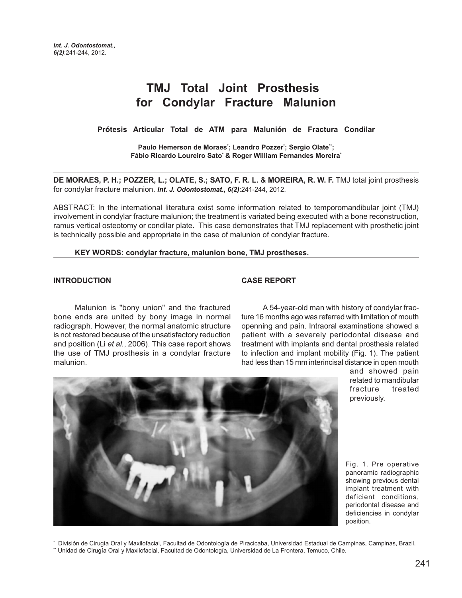# **TMJ Total Joint Prosthesis for Condylar Fracture Malunion**

**Prótesis Articular Total de ATM para Malunión de Fractura Condilar**

**Paulo Hemerson de Moraes\* ; Leandro Pozzer\* ; Sergio Olate\*\*; Fábio Ricardo Loureiro Sato\* & Roger William Fernandes Moreira\***

**DE MORAES, P. H.; POZZER, L.; OLATE, S.; SATO, F. R. L. & MOREIRA, R. W. F.** TMJ total joint prosthesis for condylar fracture malunion. *Int. J. Odontostomat., 6(2)*:241-244, 2012.

ABSTRACT: In the international literatura exist some information related to temporomandibular joint (TMJ) involvement in condylar fracture malunion; the treatment is variated being executed with a bone reconstruction, ramus vertical osteotomy or condilar plate. This case demonstrates that TMJ replacement with prosthetic joint is technically possible and appropriate in the case of malunion of condylar fracture.

#### **KEY WORDS: condylar fracture, malunion bone, TMJ prostheses.**

## **INTRODUCTION**

#### **CASE REPORT**

Malunion is "bony union" and the fractured bone ends are united by bony image in normal radiograph. However, the normal anatomic structure is not restored because of the unsatisfactory reduction and position (Li et al., 2006). This case report shows the use of TMJ prosthesis in a condylar fracture malunion.

A 54-year-old man with history of condylar fracture 16 months ago was referred with limitation of mouth openning and pain. Intraoral examinations showed a patient with a severely periodontal disease and treatment with implants and dental prosthesis related to infection and implant mobility (Fig. 1). The patient had less than 15 mm interincisal distance in open mouth

> and showed pain related to mandibular fracture treated previously.

Fig. 1. Pre operative panoramic radiographic showing previous dental implant treatment with deficient conditions, periodontal disease and deficiencies in condylar position.



\*\* Unidad de Cirugía Oral y Maxilofacial, Facultad de Odontología, Universidad de La Frontera, Temuco, Chile.

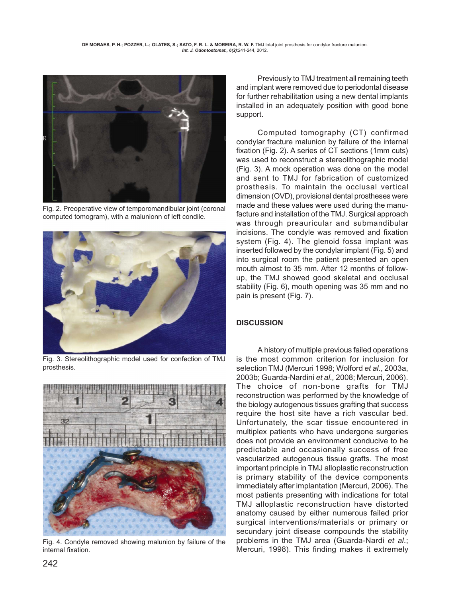

Fig. 2. Preoperative view of temporomandibular joint (coronal computed tomogram), with a malunionn of left condile.



Fig. 3. Stereolithographic model used for confection of TMJ prosthesis.



Fig. 4. Condyle removed showing malunion by failure of the internal fixation.

Previously to TMJ treatment all remaining teeth and implant were removed due to periodontal disease for further rehabilitation using a new dental implants installed in an adequately position with good bone support.

Computed tomography (CT) confirmed condylar fracture malunion by failure of the internal fixation (Fig. 2). A series of CT sections (1mm cuts) was used to reconstruct a stereolithographic model (Fig. 3). A mock operation was done on the model and sent to TMJ for fabrication of customized prosthesis. To maintain the occlusal vertical dimension (OVD), provisional dental prostheses were made and these values were used during the manufacture and installation of the TMJ. Surgical approach was through preauricular and submandibular incisions. The condyle was removed and fixation system (Fig. 4). The glenoid fossa implant was inserted followed by the condylar implant (Fig. 5) and into surgical room the patient presented an open mouth almost to 35 mm. After 12 months of followup, the TMJ showed good skeletal and occlusal stability (Fig. 6), mouth opening was 35 mm and no pain is present (Fig. 7).

# **DISCUSSION**

A history of multiple previous failed operations is the most common criterion for inclusion for selection TMJ (Mercuri 1998; Wolford et al., 2003a, 2003b; Guarda-Nardini et al., 2008; Mercuri, 2006). The choice of non-bone grafts for TMJ reconstruction was performed by the knowledge of the biology autogenous tissues grafting that success require the host site have a rich vascular bed. Unfortunately, the scar tissue encountered in multiplex patients who have undergone surgeries does not provide an environment conducive to he predictable and occasionally success of free vascularized autogenous tissue grafts. The most important principle in TMJ alloplastic reconstruction is primary stability of the device components immediately after implantation (Mercuri, 2006). The most patients presenting with indications for total TMJ alloplastic reconstruction have distorted anatomy caused by either numerous failed prior surgical interventions/materials or primary or secundary joint disease compounds the stability problems in the TMJ area (Guarda-Nardi et al.; Mercuri, 1998). This finding makes it extremely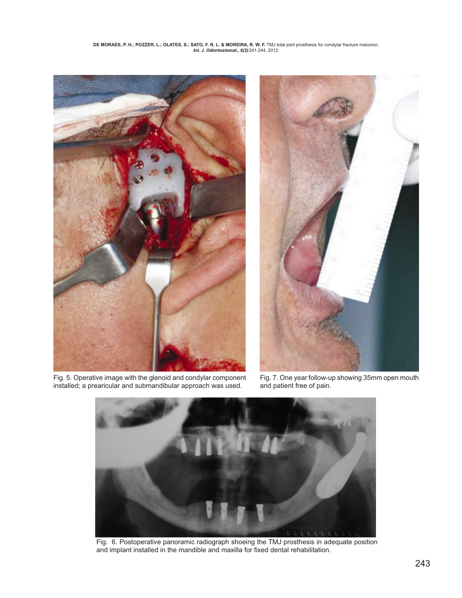

Fig. 5. Operative image with the glenoid and condylar component installed; a prearicular and submandibular approach was used.



Fig. 7. One year follow-up showing 35mm open mouth and patient free of pain.



Fig. 6. Postoperative panoramic radiograph shoeing the TMJ prosthesis in adequate position and implant installed in the mandible and maxilla for fixed dental rehabilitation.